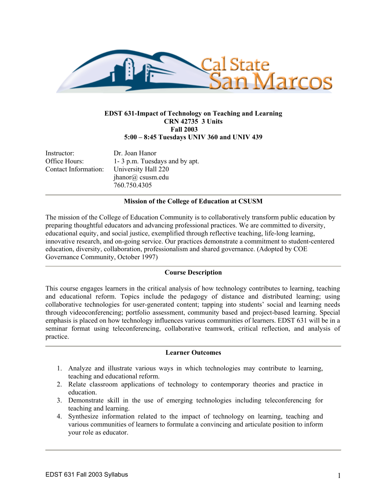

## **EDST 631-Impact of Technology on Teaching and Learning CRN 42735 3 Units Fall 2003 5:00 – 8:45 Tuesdays UNIV 360 and UNIV 439**

Instructor: Dr. Joan Hanor Office Hours: 1- 3 p.m. Tuesdays and by apt. Contact Information: University Hall 220 jhanor@ csusm.edu

760.750.4305

## **Mission of the College of Education at CSUSM**

The mission of the College of Education Community is to collaboratively transform public education by preparing thoughtful educators and advancing professional practices. We are committed to diversity, educational equity, and social justice, exemplified through reflective teaching, life-long learning, innovative research, and on-going service. Our practices demonstrate a commitment to student-centered education, diversity, collaboration, professionalism and shared governance. (Adopted by COE Governance Community, October 1997)

#### **Course Description**

This course engages learners in the critical analysis of how technology contributes to learning, teaching and educational reform. Topics include the pedagogy of distance and distributed learning; using collaborative technologies for user-generated content; tapping into students' social and learning needs through videoconferencing; portfolio assessment, community based and project-based learning. Special emphasis is placed on how technology influences various communities of learners. EDST 631 will be in a seminar format using teleconferencing, collaborative teamwork, critical reflection, and analysis of practice.

#### **Learner Outcomes**

- 1. Analyze and illustrate various ways in which technologies may contribute to learning, teaching and educational reform.
- 2. Relate classroom applications of technology to contemporary theories and practice in education.
- 3. Demonstrate skill in the use of emerging technologies including teleconferencing for teaching and learning.
- 4. Synthesize information related to the impact of technology on learning, teaching and various communities of learners to formulate a convincing and articulate position to inform your role as educator.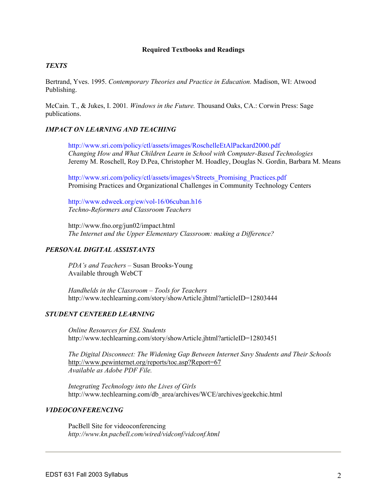#### **Required Textbooks and Readings**

### *TEXTS*

Bertrand, Yves. 1995. *Contemporary Theories and Practice in Education.* Madison, WI: Atwood Publishing.

McCain. T., & Jukes, I. 2001*. Windows in the Future.* Thousand Oaks, CA.: Corwin Press: Sage publications.

### *IMPACT ON LEARNING AND TEACHING*

http://www.sri.com/policy/ctl/assets/images/RoschelleEtAlPackard2000.pdf *Changing How and What Children Learn in School with Computer-Based Technologies*  Jeremy M. Roschell, Roy D.Pea, Christopher M. Hoadley, Douglas N. Gordin, Barbara M. Means

http://www.sri.com/policy/ctl/assets/images/vStreets\_Promising\_Practices.pdf Promising Practices and Organizational Challenges in Community Technology Centers

http://www.edweek.org/ew/vol-16/06cuban.h16 *Techno-Reformers and Classroom Teachers* 

http://www.fno.org/jun02/impact.html *The Internet and the Upper Elementary Classroom: making a Difference?*

#### *PERSONAL DIGITAL ASSISTANTS*

*PDA's and Teachers* – Susan Brooks-Young Available through WebCT

*Handhelds in the Classroom – Tools for Teachers*  http://www.techlearning.com/story/showArticle.jhtml?articleID=12803444

#### *STUDENT CENTERED LEARNING*

*Online Resources for ESL Students*  http://www.techlearning.com/story/showArticle.jhtml?articleID=12803451

*The Digital Disconnect: The Widening Gap Between Internet Savy Students and Their Schools*  http://www.pewinternet.org/reports/toc.asp?Report=67 *Available as Adobe PDF File.* 

*Integrating Technology into the Lives of Girls*  http://www.techlearning.com/db\_area/archives/WCE/archives/geekchic.html

#### *VIDEOCONFERENCING*

PacBell Site for videoconferencing *http://www.kn.pacbell.com/wired/vidconf/vidconf.html*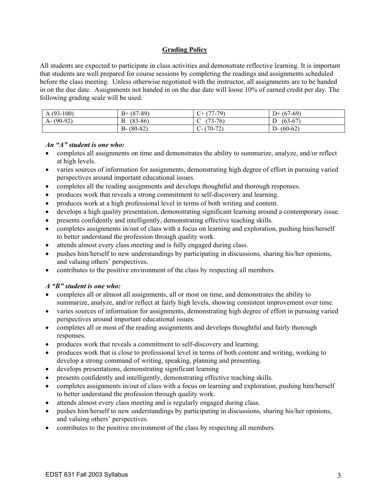## **Grading Policy**

All students are expected to participate in class activities and demonstrate reflective learning. It is important that students are well prepared for course sessions by completing the readings and assignments scheduled before the class meeting. Unless otherwise negotiated with the instructor, all assignments are to be handed in on the due date. Assignments not handed in on the due date will loose 10% of earned credit per day. The following grading scale will be used.

| $(93-100)$<br>A   | $(87-89)$<br>$B+$ | -79)<br>$\sqrt{2}$<br>.          | - (67-69)<br>$D+$ |
|-------------------|-------------------|----------------------------------|-------------------|
| $(90-92)$<br>$A-$ | $(83 - 86)$<br>B  | $(73-76)$<br>$\cdot$             | $(63-67)$<br>⊅    |
|                   | $(80-82)$<br>B-   | $\sim$<br>$70-$<br>- U-<br>، د ، | $(60-62)$<br>D-   |

## *An "A" student is one who:*

- completes all assignments on time and demonstrates the ability to summarize, analyze, and/or reflect at high levels.
- varies sources of information for assignments, demonstrating high degree of effort in pursuing varied perspectives around important educational issues.
- completes all the reading assignments and develops thoughtful and thorough responses.
- produces work that reveals a strong commitment to self-discovery and learning.
- produces work at a high professional level in terms of both writing and content.
- develops a high quality presentation, demonstrating significant learning around a contemporary issue.
- presents confidently and intelligently, demonstrating effective teaching skills.
- completes assignments in/out of class with a focus on learning and exploration, pushing him/herself to better understand the profession through quality work.
- attends almost every class meeting and is fully engaged during class.
- pushes him/herself to new understandings by participating in discussions, sharing his/her opinions, and valuing others' perspectives.
- contributes to the positive environment of the class by respecting all members.

# *A "B" student is one who:*

- completes all or almost all assignments, all or most on time, and demonstrates the ability to summarize, analyze, and/or reflect at fairly high levels, showing consistent improvement over time.
- varies sources of information for assignments, demonstrating high degree of effort in pursuing varied perspectives around important educational issues.
- completes all or most of the reading assignments and develops thoughtful and fairly thorough responses.
- produces work that reveals a commitment to self-discovery and learning.
- produces work that is close to professional level in terms of both content and writing, working to develop a strong command of writing, speaking, planning and presenting.
- develops presentations, demonstrating significant learning
- presents confidently and intelligently, demonstrating effective teaching skills.
- completes assignments in/out of class with a focus on learning and exploration, pushing him/herself to better understand the profession through quality work.
- attends almost every class meeting and is regularly engaged during class.
- pushes him/herself to new understandings by participating in discussions, sharing his/her opinions, and valuing others' perspectives.
- contributes to the positive environment of the class by respecting all members.